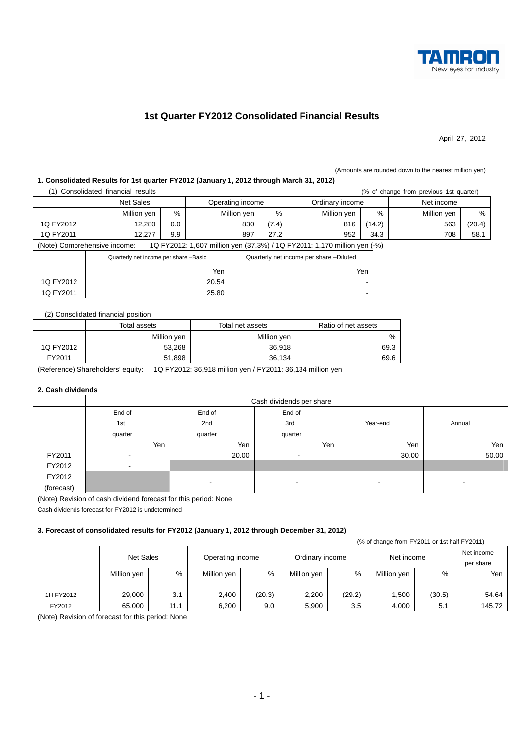

# **1st Quarter FY2012 Consolidated Financial Results**

April 27, 2012

#### (Amounts are rounded down to the nearest million yen)

### **1. Consolidated Results for 1st quarter FY2012 (January 1, 2012 through March 31, 2012)**

| (1) Consolidated financial results |  |  |
|------------------------------------|--|--|

|           | Consolidated financial results<br>(% of change from previous 1st quarter) |     |       |                                     |                                         |                                                                          |            |             |        |
|-----------|---------------------------------------------------------------------------|-----|-------|-------------------------------------|-----------------------------------------|--------------------------------------------------------------------------|------------|-------------|--------|
|           | Net Sales                                                                 |     |       | Operating income<br>Ordinary income |                                         |                                                                          | Net income |             |        |
|           | Million yen                                                               | %   |       | Million yen                         | $\%$                                    | Million yen                                                              | %          | Million yen | %      |
| 1Q FY2012 | 12,280                                                                    | 0.0 |       | 830                                 | (7.4)                                   | 816                                                                      | (14.2)     | 563         | (20.4) |
| 1Q FY2011 | 12.277                                                                    | 9.9 | 897   |                                     | 27.2                                    | 952                                                                      | 34.3       | 708         | 58.1   |
|           | (Note) Comprehensive income:                                              |     |       |                                     |                                         | 1Q FY2012: 1,607 million yen (37.3%) / 1Q FY2011: 1,170 million yen (-%) |            |             |        |
|           | Quarterly net income per share -Basic                                     |     |       |                                     | Quarterly net income per share -Diluted |                                                                          |            |             |        |
|           |                                                                           |     | Yen   |                                     |                                         |                                                                          | Yen        |             |        |
| 1Q FY2012 |                                                                           |     | 20.54 |                                     |                                         |                                                                          | -          |             |        |

### (2) Consolidated financial position

1Q FY2011 25.80

|           | Total assets | Total net assets | Ratio of net assets |  |
|-----------|--------------|------------------|---------------------|--|
|           | Million yen  | Million yen      | %                   |  |
| 1Q FY2012 | 53,268       | 36,918           | 69.3                |  |
| FY2011    | 51.898       | 36.134           | 69.6                |  |

(Reference) Shareholders' equity: 1Q FY2012: 36,918 million yen / FY2011: 36,134 million yen

#### **2. Cash dividends**

|            | Cash dividends per share |                          |                          |          |        |  |  |  |  |  |  |
|------------|--------------------------|--------------------------|--------------------------|----------|--------|--|--|--|--|--|--|
|            | End of                   | End of                   | End of                   |          |        |  |  |  |  |  |  |
|            | 1st                      | 2nd                      | 3rd                      | Year-end | Annual |  |  |  |  |  |  |
|            | quarter                  | quarter                  | quarter                  |          |        |  |  |  |  |  |  |
|            | Yen                      | Yen                      | Yen                      | Yen      | Yen    |  |  |  |  |  |  |
| FY2011     | $\overline{\phantom{a}}$ | 20.00                    |                          | 30.00    | 50.00  |  |  |  |  |  |  |
| FY2012     | $\overline{\phantom{a}}$ |                          |                          |          |        |  |  |  |  |  |  |
| FY2012     |                          |                          |                          |          |        |  |  |  |  |  |  |
| (forecast) |                          | $\overline{\phantom{a}}$ | $\overline{\phantom{a}}$ | ۰        | $\,$   |  |  |  |  |  |  |

(Note) Revision of cash dividend forecast for this period: None

Cash dividends forecast for FY2012 is undetermined

### **3. Forecast of consolidated results for FY2012 (January 1, 2012 through December 31, 2012)**

|           | (% of change from FY2011 or 1st half FY2011) |      |                  |        |                 |        |             |        |                         |  |  |  |
|-----------|----------------------------------------------|------|------------------|--------|-----------------|--------|-------------|--------|-------------------------|--|--|--|
|           | <b>Net Sales</b>                             |      | Operating income |        | Ordinary income |        | Net income  |        | Net income<br>per share |  |  |  |
|           | Million yen                                  | %    | Million yen      | %      | Million yen     | %      | Million yen | %      | Yen                     |  |  |  |
|           |                                              |      |                  |        |                 |        |             |        |                         |  |  |  |
| 1H FY2012 | 29,000                                       | 3.1  | 2,400            | (20.3) | 2,200           | (29.2) | ,500        | (30.5) | 54.64                   |  |  |  |
| FY2012    | 65,000                                       | 11.1 | 6,200            | 9.0    | 5.900           | 3.5    | 4,000       | 5.1    | 145.72                  |  |  |  |

(Note) Revision of forecast for this period: None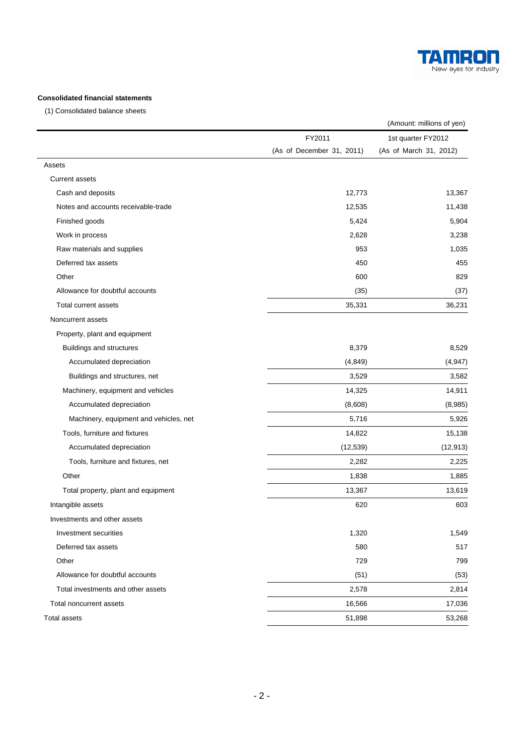

## **Consolidated financial statements**

(1) Consolidated balance sheets

|                                        |                           | (Amount: millions of yen) |  |
|----------------------------------------|---------------------------|---------------------------|--|
|                                        | FY2011                    | 1st quarter FY2012        |  |
|                                        | (As of December 31, 2011) | (As of March 31, 2012)    |  |
| Assets                                 |                           |                           |  |
| <b>Current assets</b>                  |                           |                           |  |
| Cash and deposits                      | 12,773                    | 13,367                    |  |
| Notes and accounts receivable-trade    | 12,535                    | 11,438                    |  |
| Finished goods                         | 5,424                     | 5,904                     |  |
| Work in process                        | 2,628                     | 3,238                     |  |
| Raw materials and supplies             | 953                       | 1,035                     |  |
| Deferred tax assets                    | 450                       | 455                       |  |
| Other                                  | 600                       | 829                       |  |
| Allowance for doubtful accounts        | (35)                      | (37)                      |  |
| Total current assets                   | 35,331                    | 36,231                    |  |
| Noncurrent assets                      |                           |                           |  |
| Property, plant and equipment          |                           |                           |  |
| Buildings and structures               | 8,379                     | 8,529                     |  |
| Accumulated depreciation               | (4, 849)                  | (4, 947)                  |  |
| Buildings and structures, net          | 3,529                     | 3,582                     |  |
| Machinery, equipment and vehicles      | 14,325                    | 14,911                    |  |
| Accumulated depreciation               | (8,608)                   | (8,985)                   |  |
| Machinery, equipment and vehicles, net | 5,716                     | 5,926                     |  |
| Tools, furniture and fixtures          | 14,822                    | 15,138                    |  |
| Accumulated depreciation               | (12, 539)                 | (12, 913)                 |  |
| Tools, furniture and fixtures, net     | 2,282                     | 2,225                     |  |
| Other                                  | 1,838                     | 1,885                     |  |
| Total property, plant and equipment    | 13,367                    | 13,619                    |  |
| Intangible assets                      | 620                       | 603                       |  |
| Investments and other assets           |                           |                           |  |
| Investment securities                  | 1,320                     | 1,549                     |  |
| Deferred tax assets                    | 580                       | 517                       |  |
| Other                                  | 729                       | 799                       |  |
| Allowance for doubtful accounts        | (51)                      | (53)                      |  |
| Total investments and other assets     | 2,578                     | 2,814                     |  |
| Total noncurrent assets                | 16,566                    | 17,036                    |  |
| Total assets                           | 51,898                    | 53,268                    |  |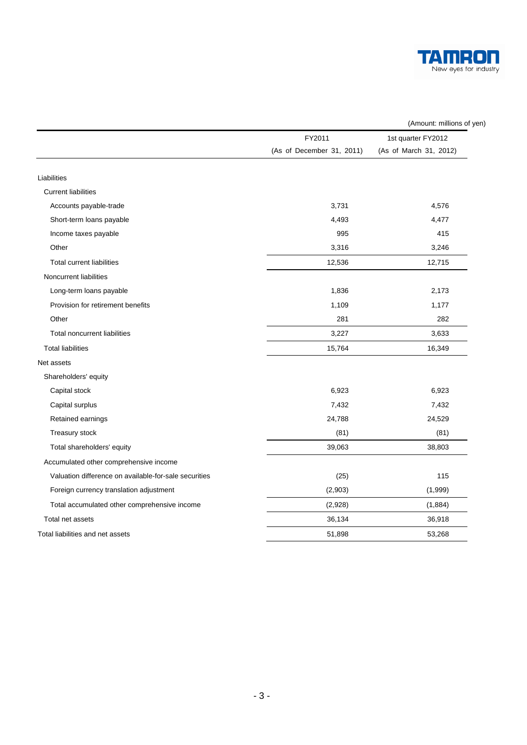

|                                                       | (Amount: millions of yen) |                        |  |  |  |
|-------------------------------------------------------|---------------------------|------------------------|--|--|--|
|                                                       | FY2011                    | 1st quarter FY2012     |  |  |  |
|                                                       | (As of December 31, 2011) | (As of March 31, 2012) |  |  |  |
| Liabilities                                           |                           |                        |  |  |  |
| <b>Current liabilities</b>                            |                           |                        |  |  |  |
| Accounts payable-trade                                | 3,731                     | 4,576                  |  |  |  |
| Short-term loans payable                              | 4,493                     | 4,477                  |  |  |  |
| Income taxes payable                                  | 995                       | 415                    |  |  |  |
| Other                                                 | 3,316                     | 3,246                  |  |  |  |
| <b>Total current liabilities</b>                      | 12,536                    | 12,715                 |  |  |  |
| Noncurrent liabilities                                |                           |                        |  |  |  |
| Long-term loans payable                               | 1,836                     | 2,173                  |  |  |  |
| Provision for retirement benefits                     | 1,109                     | 1,177                  |  |  |  |
| Other                                                 | 281                       | 282                    |  |  |  |
| <b>Total noncurrent liabilities</b>                   | 3,227                     | 3,633                  |  |  |  |
| <b>Total liabilities</b>                              | 15,764                    | 16,349                 |  |  |  |
| Net assets                                            |                           |                        |  |  |  |
| Shareholders' equity                                  |                           |                        |  |  |  |
| Capital stock                                         | 6,923                     | 6,923                  |  |  |  |
| Capital surplus                                       | 7,432                     | 7,432                  |  |  |  |
| Retained earnings                                     | 24,788                    | 24,529                 |  |  |  |
| Treasury stock                                        | (81)                      | (81)                   |  |  |  |
| Total shareholders' equity                            | 39,063                    | 38,803                 |  |  |  |
| Accumulated other comprehensive income                |                           |                        |  |  |  |
| Valuation difference on available-for-sale securities | (25)                      | 115                    |  |  |  |
| Foreign currency translation adjustment               | (2,903)                   | (1,999)                |  |  |  |
| Total accumulated other comprehensive income          | (2,928)                   | (1,884)                |  |  |  |
| Total net assets                                      | 36,134                    | 36,918                 |  |  |  |
| Total liabilities and net assets                      | 51,898                    | 53,268                 |  |  |  |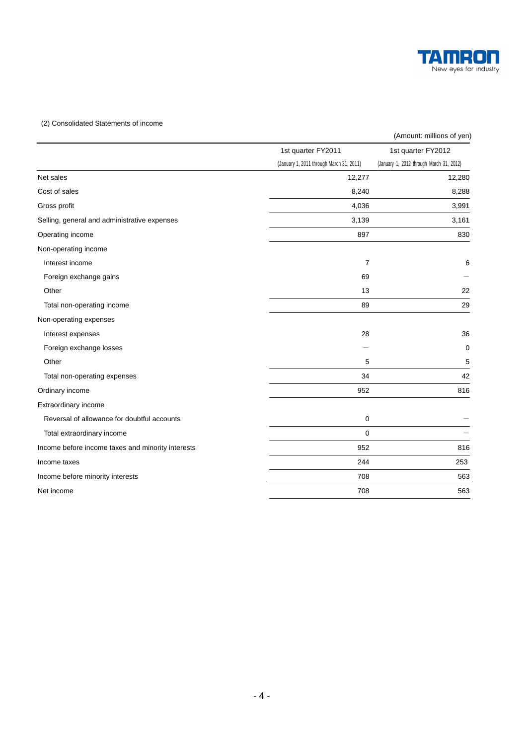

### (2) Consolidated Statements of income

|                                                   |                                          | (Amount: millions of yen)                |
|---------------------------------------------------|------------------------------------------|------------------------------------------|
|                                                   | 1st quarter FY2011                       | 1st quarter FY2012                       |
|                                                   | (January 1, 2011 through March 31, 2011) | (January 1, 2012 through March 31, 2012) |
| Net sales                                         | 12,277                                   | 12,280                                   |
| Cost of sales                                     | 8,240                                    | 8,288                                    |
| Gross profit                                      | 4,036                                    | 3,991                                    |
| Selling, general and administrative expenses      | 3,139                                    | 3,161                                    |
| Operating income                                  | 897                                      | 830                                      |
| Non-operating income                              |                                          |                                          |
| Interest income                                   | $\overline{7}$                           | 6                                        |
| Foreign exchange gains                            | 69                                       |                                          |
| Other                                             | 13                                       | 22                                       |
| Total non-operating income                        | 89                                       | 29                                       |
| Non-operating expenses                            |                                          |                                          |
| Interest expenses                                 | 28                                       | 36                                       |
| Foreign exchange losses                           |                                          | 0                                        |
| Other                                             | 5                                        | 5                                        |
| Total non-operating expenses                      | 34                                       | 42                                       |
| Ordinary income                                   | 952                                      | 816                                      |
| Extraordinary income                              |                                          |                                          |
| Reversal of allowance for doubtful accounts       | 0                                        |                                          |
| Total extraordinary income                        | 0                                        |                                          |
| Income before income taxes and minority interests | 952                                      | 816                                      |
| Income taxes                                      | 244                                      | 253                                      |
| Income before minority interests                  | 708                                      | 563                                      |
| Net income                                        | 708                                      | 563                                      |
|                                                   |                                          |                                          |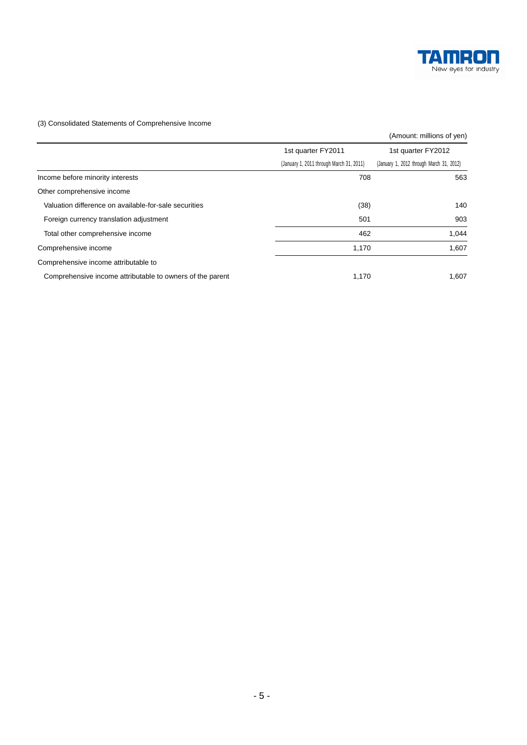

### (3) Consolidated Statements of Comprehensive Income

|                                                           |                                          | (Amount: millions of yen)                |
|-----------------------------------------------------------|------------------------------------------|------------------------------------------|
|                                                           | 1st quarter FY2011                       | 1st quarter FY2012                       |
|                                                           | (January 1, 2011 through March 31, 2011) | (January 1, 2012 through March 31, 2012) |
| Income before minority interests                          | 708                                      | 563                                      |
| Other comprehensive income                                |                                          |                                          |
| Valuation difference on available-for-sale securities     | (38)                                     | 140                                      |
| Foreign currency translation adjustment                   | 501                                      | 903                                      |
| Total other comprehensive income                          | 462                                      | 1,044                                    |
| Comprehensive income                                      | 1,170                                    | 1,607                                    |
| Comprehensive income attributable to                      |                                          |                                          |
| Comprehensive income attributable to owners of the parent | 1,170                                    | 1,607                                    |